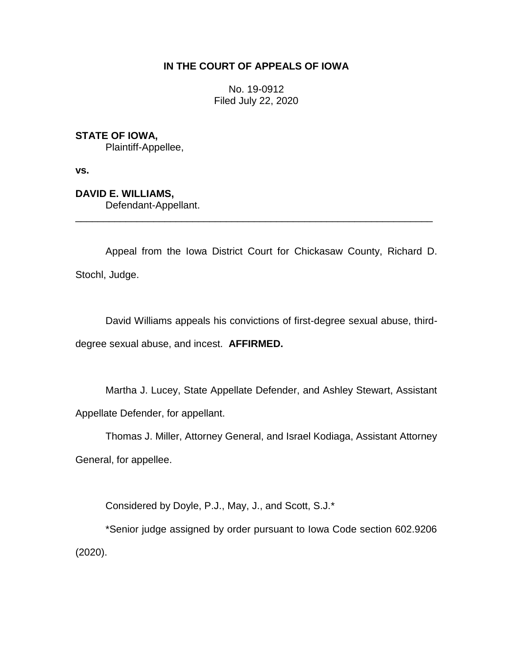# **IN THE COURT OF APPEALS OF IOWA**

No. 19-0912 Filed July 22, 2020

# **STATE OF IOWA,**

Plaintiff-Appellee,

**vs.**

# **DAVID E. WILLIAMS,**

Defendant-Appellant.

Appeal from the Iowa District Court for Chickasaw County, Richard D. Stochl, Judge.

\_\_\_\_\_\_\_\_\_\_\_\_\_\_\_\_\_\_\_\_\_\_\_\_\_\_\_\_\_\_\_\_\_\_\_\_\_\_\_\_\_\_\_\_\_\_\_\_\_\_\_\_\_\_\_\_\_\_\_\_\_\_\_\_

David Williams appeals his convictions of first-degree sexual abuse, thirddegree sexual abuse, and incest. **AFFIRMED.** 

Martha J. Lucey, State Appellate Defender, and Ashley Stewart, Assistant Appellate Defender, for appellant.

Thomas J. Miller, Attorney General, and Israel Kodiaga, Assistant Attorney General, for appellee.

Considered by Doyle, P.J., May, J., and Scott, S.J.\*

\*Senior judge assigned by order pursuant to Iowa Code section 602.9206 (2020).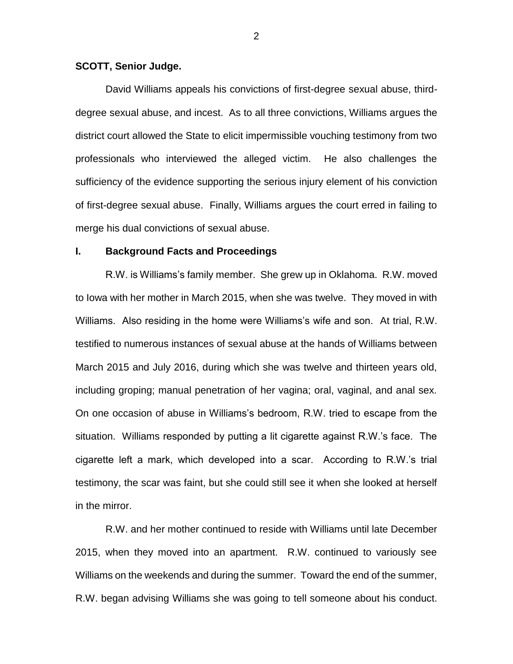## **SCOTT, Senior Judge.**

David Williams appeals his convictions of first-degree sexual abuse, thirddegree sexual abuse, and incest. As to all three convictions, Williams argues the district court allowed the State to elicit impermissible vouching testimony from two professionals who interviewed the alleged victim. He also challenges the sufficiency of the evidence supporting the serious injury element of his conviction of first-degree sexual abuse. Finally, Williams argues the court erred in failing to merge his dual convictions of sexual abuse.

### **I. Background Facts and Proceedings**

R.W. is Williams's family member. She grew up in Oklahoma. R.W. moved to Iowa with her mother in March 2015, when she was twelve. They moved in with Williams. Also residing in the home were Williams's wife and son. At trial, R.W. testified to numerous instances of sexual abuse at the hands of Williams between March 2015 and July 2016, during which she was twelve and thirteen years old, including groping; manual penetration of her vagina; oral, vaginal, and anal sex. On one occasion of abuse in Williams's bedroom, R.W. tried to escape from the situation. Williams responded by putting a lit cigarette against R.W.'s face. The cigarette left a mark, which developed into a scar. According to R.W.'s trial testimony, the scar was faint, but she could still see it when she looked at herself in the mirror.

R.W. and her mother continued to reside with Williams until late December 2015, when they moved into an apartment. R.W. continued to variously see Williams on the weekends and during the summer. Toward the end of the summer, R.W. began advising Williams she was going to tell someone about his conduct.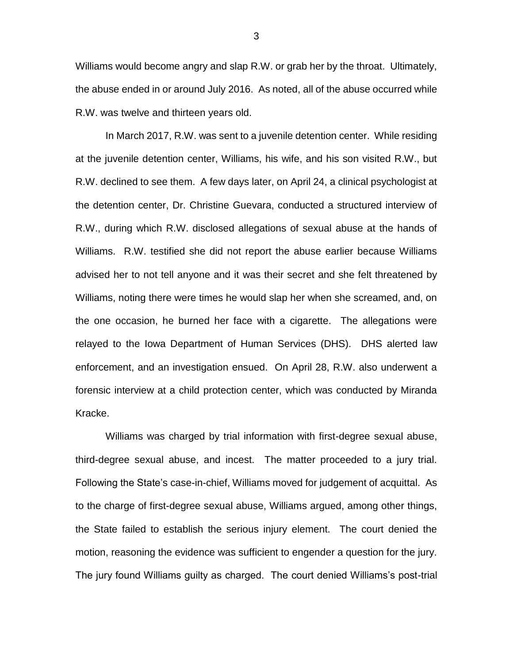Williams would become angry and slap R.W. or grab her by the throat. Ultimately, the abuse ended in or around July 2016. As noted, all of the abuse occurred while R.W. was twelve and thirteen years old.

In March 2017, R.W. was sent to a juvenile detention center. While residing at the juvenile detention center, Williams, his wife, and his son visited R.W., but R.W. declined to see them. A few days later, on April 24, a clinical psychologist at the detention center, Dr. Christine Guevara, conducted a structured interview of R.W., during which R.W. disclosed allegations of sexual abuse at the hands of Williams. R.W. testified she did not report the abuse earlier because Williams advised her to not tell anyone and it was their secret and she felt threatened by Williams, noting there were times he would slap her when she screamed, and, on the one occasion, he burned her face with a cigarette. The allegations were relayed to the Iowa Department of Human Services (DHS). DHS alerted law enforcement, and an investigation ensued. On April 28, R.W. also underwent a forensic interview at a child protection center, which was conducted by Miranda Kracke.

Williams was charged by trial information with first-degree sexual abuse, third-degree sexual abuse, and incest. The matter proceeded to a jury trial. Following the State's case-in-chief, Williams moved for judgement of acquittal. As to the charge of first-degree sexual abuse, Williams argued, among other things, the State failed to establish the serious injury element. The court denied the motion, reasoning the evidence was sufficient to engender a question for the jury. The jury found Williams guilty as charged. The court denied Williams's post-trial

3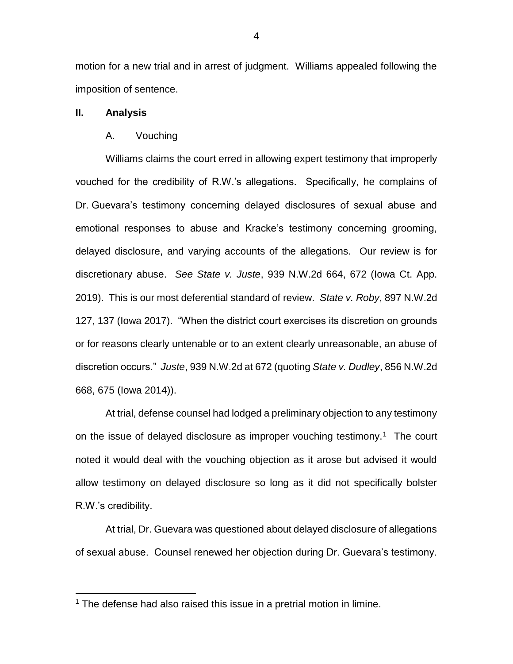motion for a new trial and in arrest of judgment. Williams appealed following the imposition of sentence.

### **II. Analysis**

 $\overline{a}$ 

### A. Vouching

Williams claims the court erred in allowing expert testimony that improperly vouched for the credibility of R.W.'s allegations. Specifically, he complains of Dr. Guevara's testimony concerning delayed disclosures of sexual abuse and emotional responses to abuse and Kracke's testimony concerning grooming, delayed disclosure, and varying accounts of the allegations. Our review is for discretionary abuse. *See State v. Juste*, 939 N.W.2d 664, 672 (Iowa Ct. App. 2019). This is our most deferential standard of review. *State v. Roby*, 897 N.W.2d 127, 137 (Iowa 2017). "When the district court exercises its discretion on grounds or for reasons clearly untenable or to an extent clearly unreasonable, an abuse of discretion occurs." *Juste*, 939 N.W.2d at 672 (quoting *State v. Dudley*, 856 N.W.2d 668, 675 (Iowa 2014)).

At trial, defense counsel had lodged a preliminary objection to any testimony on the issue of delayed disclosure as improper vouching testimony.<sup>1</sup> The court noted it would deal with the vouching objection as it arose but advised it would allow testimony on delayed disclosure so long as it did not specifically bolster R.W.'s credibility.

At trial, Dr. Guevara was questioned about delayed disclosure of allegations of sexual abuse. Counsel renewed her objection during Dr. Guevara's testimony.

<sup>&</sup>lt;sup>1</sup> The defense had also raised this issue in a pretrial motion in limine.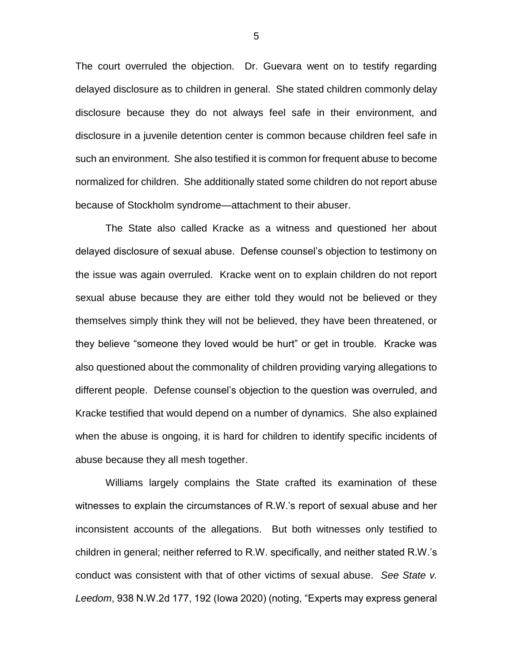The court overruled the objection. Dr. Guevara went on to testify regarding delayed disclosure as to children in general. She stated children commonly delay disclosure because they do not always feel safe in their environment, and disclosure in a juvenile detention center is common because children feel safe in such an environment. She also testified it is common for frequent abuse to become normalized for children. She additionally stated some children do not report abuse because of Stockholm syndrome—attachment to their abuser.

The State also called Kracke as a witness and questioned her about delayed disclosure of sexual abuse. Defense counsel's objection to testimony on the issue was again overruled. Kracke went on to explain children do not report sexual abuse because they are either told they would not be believed or they themselves simply think they will not be believed, they have been threatened, or they believe "someone they loved would be hurt" or get in trouble. Kracke was also questioned about the commonality of children providing varying allegations to different people. Defense counsel's objection to the question was overruled, and Kracke testified that would depend on a number of dynamics. She also explained when the abuse is ongoing, it is hard for children to identify specific incidents of abuse because they all mesh together.

Williams largely complains the State crafted its examination of these witnesses to explain the circumstances of R.W.'s report of sexual abuse and her inconsistent accounts of the allegations. But both witnesses only testified to children in general; neither referred to R.W. specifically, and neither stated R.W.'s conduct was consistent with that of other victims of sexual abuse. *See State v. Leedom*, 938 N.W.2d 177, 192 (Iowa 2020) (noting, "Experts may express general

5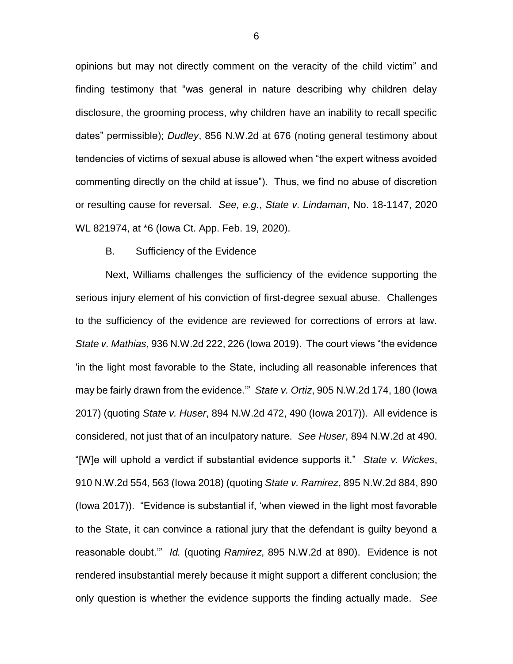opinions but may not directly comment on the veracity of the child victim" and finding testimony that "was general in nature describing why children delay disclosure, the grooming process, why children have an inability to recall specific dates" permissible); *Dudley*, 856 N.W.2d at 676 (noting general testimony about tendencies of victims of sexual abuse is allowed when "the expert witness avoided commenting directly on the child at issue"). Thus, we find no abuse of discretion or resulting cause for reversal. *See, e.g.*, *State v. Lindaman*, No. 18-1147, 2020 WL 821974, at \*6 (Iowa Ct. App. Feb. 19, 2020).

### B. Sufficiency of the Evidence

Next, Williams challenges the sufficiency of the evidence supporting the serious injury element of his conviction of first-degree sexual abuse. Challenges to the sufficiency of the evidence are reviewed for corrections of errors at law. *State v. Mathias*, 936 N.W.2d 222, 226 (Iowa 2019).The court views "the evidence 'in the light most favorable to the State, including all reasonable inferences that may be fairly drawn from the evidence.'" *State v. Ortiz*, 905 N.W.2d 174, 180 (Iowa 2017) (quoting *State v. Huser*, 894 N.W.2d 472, 490 (Iowa 2017)). All evidence is considered, not just that of an inculpatory nature. *See Huser*, 894 N.W.2d at 490. "[W]e will uphold a verdict if substantial evidence supports it." *State v. Wickes*, 910 N.W.2d 554, 563 (Iowa 2018) (quoting *State v. Ramirez*, 895 N.W.2d 884, 890 (Iowa 2017))."Evidence is substantial if, 'when viewed in the light most favorable to the State, it can convince a rational jury that the defendant is guilty beyond a reasonable doubt.'" *Id.* (quoting *Ramirez*, 895 N.W.2d at 890). Evidence is not rendered insubstantial merely because it might support a different conclusion; the only question is whether the evidence supports the finding actually made. *See*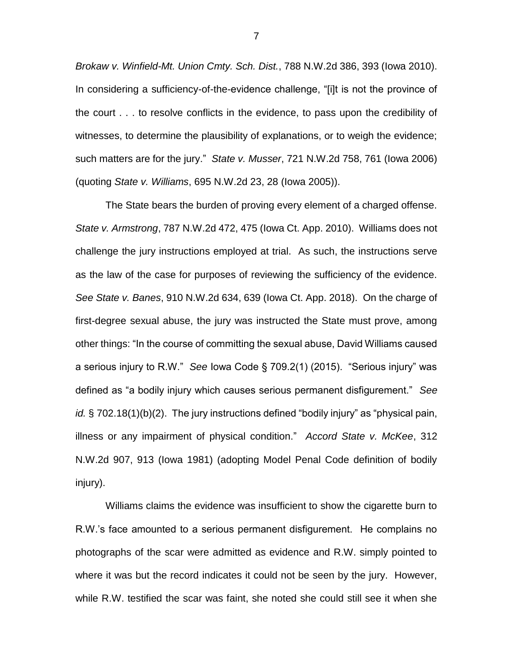*Brokaw v. Winfield-Mt. Union Cmty. Sch. Dist.*, 788 N.W.2d 386, 393 (Iowa 2010). In considering a sufficiency-of-the-evidence challenge, "[i]t is not the province of the court . . . to resolve conflicts in the evidence, to pass upon the credibility of witnesses, to determine the plausibility of explanations, or to weigh the evidence; such matters are for the jury." *State v. Musser*, 721 N.W.2d 758, 761 (Iowa 2006) (quoting *State v. Williams*, 695 N.W.2d 23, 28 (Iowa 2005)).

The State bears the burden of proving every element of a charged offense. *State v. Armstrong*, 787 N.W.2d 472, 475 (Iowa Ct. App. 2010). Williams does not challenge the jury instructions employed at trial. As such, the instructions serve as the law of the case for purposes of reviewing the sufficiency of the evidence. *See State v. Banes*, 910 N.W.2d 634, 639 (Iowa Ct. App. 2018). On the charge of first-degree sexual abuse, the jury was instructed the State must prove, among other things: "In the course of committing the sexual abuse, David Williams caused a serious injury to R.W." *See* Iowa Code § 709.2(1) (2015). "Serious injury" was defined as "a bodily injury which causes serious permanent disfigurement." *See id.* § 702.18(1)(b)(2). The jury instructions defined "bodily injury" as "physical pain, illness or any impairment of physical condition." *Accord State v. McKee*, 312 N.W.2d 907, 913 (Iowa 1981) (adopting Model Penal Code definition of bodily injury).

Williams claims the evidence was insufficient to show the cigarette burn to R.W.'s face amounted to a serious permanent disfigurement. He complains no photographs of the scar were admitted as evidence and R.W. simply pointed to where it was but the record indicates it could not be seen by the jury. However, while R.W. testified the scar was faint, she noted she could still see it when she

7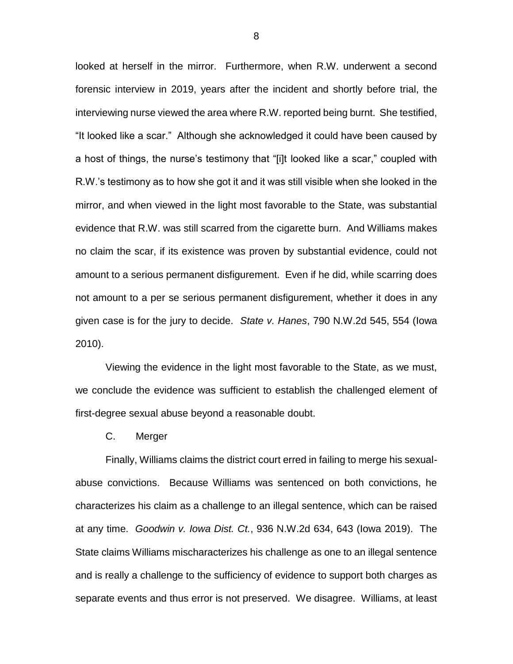looked at herself in the mirror. Furthermore, when R.W. underwent a second forensic interview in 2019, years after the incident and shortly before trial, the interviewing nurse viewed the area where R.W. reported being burnt. She testified, "It looked like a scar." Although she acknowledged it could have been caused by a host of things, the nurse's testimony that "[i]t looked like a scar," coupled with R.W.'s testimony as to how she got it and it was still visible when she looked in the mirror, and when viewed in the light most favorable to the State, was substantial evidence that R.W. was still scarred from the cigarette burn. And Williams makes no claim the scar, if its existence was proven by substantial evidence, could not amount to a serious permanent disfigurement. Even if he did, while scarring does not amount to a per se serious permanent disfigurement, whether it does in any given case is for the jury to decide. *State v. Hanes*, 790 N.W.2d 545, 554 (Iowa 2010).

Viewing the evidence in the light most favorable to the State, as we must, we conclude the evidence was sufficient to establish the challenged element of first-degree sexual abuse beyond a reasonable doubt.

C. Merger

Finally, Williams claims the district court erred in failing to merge his sexualabuse convictions. Because Williams was sentenced on both convictions, he characterizes his claim as a challenge to an illegal sentence, which can be raised at any time. *Goodwin v. Iowa Dist. Ct.*, 936 N.W.2d 634, 643 (Iowa 2019). The State claims Williams mischaracterizes his challenge as one to an illegal sentence and is really a challenge to the sufficiency of evidence to support both charges as separate events and thus error is not preserved. We disagree. Williams, at least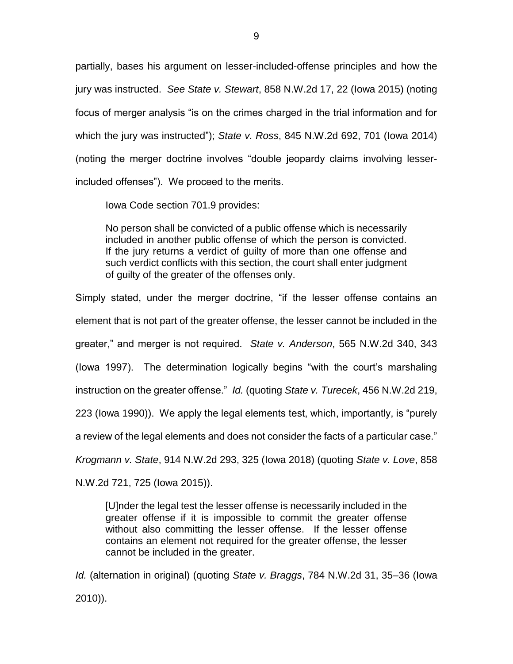partially, bases his argument on lesser-included-offense principles and how the jury was instructed. *See State v. Stewart*, 858 N.W.2d 17, 22 (Iowa 2015) (noting focus of merger analysis "is on the crimes charged in the trial information and for which the jury was instructed"); *State v. Ross*, 845 N.W.2d 692, 701 (Iowa 2014) (noting the merger doctrine involves "double jeopardy claims involving lesserincluded offenses"). We proceed to the merits.

Iowa Code section 701.9 provides:

No person shall be convicted of a public offense which is necessarily included in another public offense of which the person is convicted. If the jury returns a verdict of guilty of more than one offense and such verdict conflicts with this section, the court shall enter judgment of guilty of the greater of the offenses only.

Simply stated, under the merger doctrine, "if the lesser offense contains an element that is not part of the greater offense, the lesser cannot be included in the greater," and merger is not required. *State v. Anderson*, 565 N.W.2d 340, 343 (Iowa 1997). The determination logically begins "with the court's marshaling instruction on the greater offense." *Id.* (quoting *State v. Turecek*, 456 N.W.2d 219, 223 (Iowa 1990)). We apply the legal elements test, which, importantly, is "purely a review of the legal elements and does not consider the facts of a particular case." *Krogmann v. State*, 914 N.W.2d 293, 325 (Iowa 2018) (quoting *State v. Love*, 858

N.W.2d 721, 725 (Iowa 2015)).

[U]nder the legal test the lesser offense is necessarily included in the greater offense if it is impossible to commit the greater offense without also committing the lesser offense. If the lesser offense contains an element not required for the greater offense, the lesser cannot be included in the greater.

*Id.* (alternation in original) (quoting *State v. Braggs*, 784 N.W.2d 31, 35–36 (Iowa 2010)).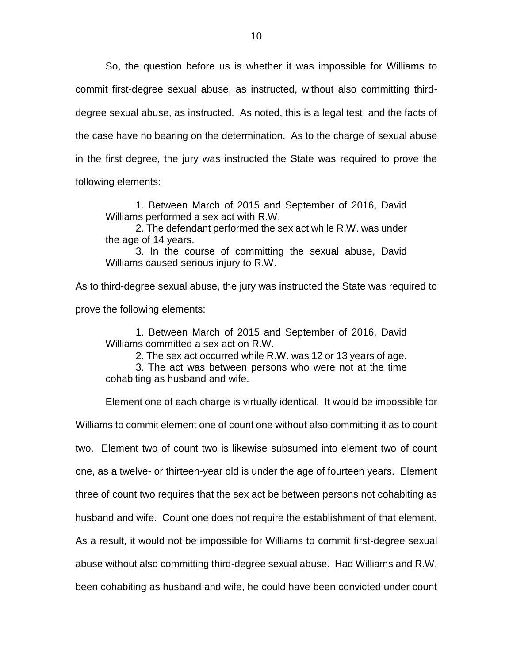So, the question before us is whether it was impossible for Williams to commit first-degree sexual abuse, as instructed, without also committing thirddegree sexual abuse, as instructed. As noted, this is a legal test, and the facts of the case have no bearing on the determination. As to the charge of sexual abuse in the first degree, the jury was instructed the State was required to prove the following elements:

1. Between March of 2015 and September of 2016, David Williams performed a sex act with R.W.

2. The defendant performed the sex act while R.W. was under the age of 14 years.

3. In the course of committing the sexual abuse, David Williams caused serious injury to R.W.

As to third-degree sexual abuse, the jury was instructed the State was required to prove the following elements:

1. Between March of 2015 and September of 2016, David Williams committed a sex act on R.W.

2. The sex act occurred while R.W. was 12 or 13 years of age.

3. The act was between persons who were not at the time cohabiting as husband and wife.

Element one of each charge is virtually identical. It would be impossible for

Williams to commit element one of count one without also committing it as to count two. Element two of count two is likewise subsumed into element two of count one, as a twelve- or thirteen-year old is under the age of fourteen years. Element three of count two requires that the sex act be between persons not cohabiting as husband and wife. Count one does not require the establishment of that element. As a result, it would not be impossible for Williams to commit first-degree sexual abuse without also committing third-degree sexual abuse. Had Williams and R.W. been cohabiting as husband and wife, he could have been convicted under count